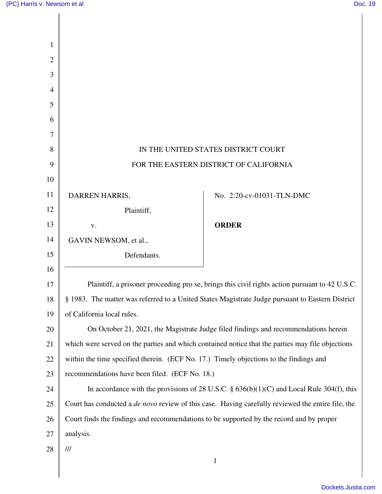Π

| 1              |                                                                                                          |                           |  |
|----------------|----------------------------------------------------------------------------------------------------------|---------------------------|--|
| $\overline{2}$ |                                                                                                          |                           |  |
| 3              |                                                                                                          |                           |  |
| $\overline{4}$ |                                                                                                          |                           |  |
| 5              |                                                                                                          |                           |  |
| 6              |                                                                                                          |                           |  |
| 7              |                                                                                                          |                           |  |
| 8              | IN THE UNITED STATES DISTRICT COURT                                                                      |                           |  |
| 9              | FOR THE EASTERN DISTRICT OF CALIFORNIA                                                                   |                           |  |
| 10             |                                                                                                          |                           |  |
| 11             | DARREN HARRIS,                                                                                           | No. 2:20-cv-01031-TLN-DMC |  |
| 12             | Plaintiff,                                                                                               |                           |  |
| 13             | V.                                                                                                       | <b>ORDER</b>              |  |
| 14             | GAVIN NEWSOM, et al.,                                                                                    |                           |  |
| 15             | Defendants.                                                                                              |                           |  |
| 16             |                                                                                                          |                           |  |
| 17             | Plaintiff, a prisoner proceeding pro se, brings this civil rights action pursuant to 42 U.S.C.           |                           |  |
| 18             | § 1983. The matter was referred to a United States Magistrate Judge pursuant to Eastern District         |                           |  |
| 19             | of California local rules.                                                                               |                           |  |
| 20             | On October 21, 2021, the Magistrate Judge filed findings and recommendations herein                      |                           |  |
| 21             | which were served on the parties and which contained notice that the parties may file objections         |                           |  |
| 22             | within the time specified therein. (ECF No. 17.) Timely objections to the findings and                   |                           |  |
| 23             | recommendations have been filed. (ECF No. 18.)                                                           |                           |  |
| 24             | In accordance with the provisions of 28 U.S.C. $\S$ 636(b)(1)(C) and Local Rule 304(f), this             |                           |  |
| 25             | Court has conducted a <i>de novo</i> review of this case. Having carefully reviewed the entire file, the |                           |  |
| 26             | Court finds the findings and recommendations to be supported by the record and by proper                 |                           |  |
| 27             | analysis.                                                                                                |                           |  |
| 28             | $\frac{1}{2}$                                                                                            |                           |  |
|                |                                                                                                          | $\mathbf{1}$              |  |